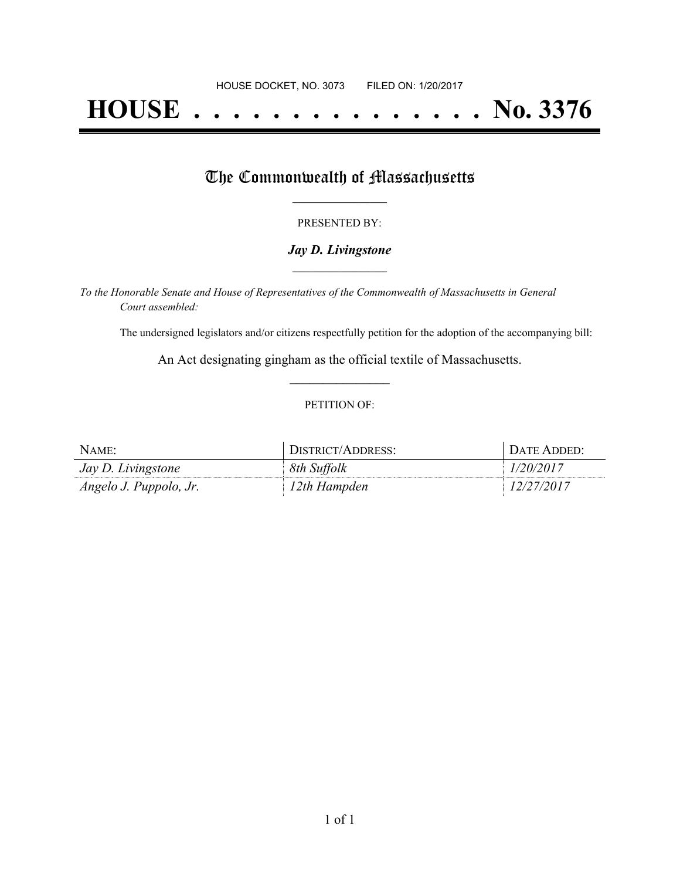# **HOUSE . . . . . . . . . . . . . . . No. 3376**

## The Commonwealth of Massachusetts

#### PRESENTED BY:

#### *Jay D. Livingstone* **\_\_\_\_\_\_\_\_\_\_\_\_\_\_\_\_\_**

*To the Honorable Senate and House of Representatives of the Commonwealth of Massachusetts in General Court assembled:*

The undersigned legislators and/or citizens respectfully petition for the adoption of the accompanying bill:

An Act designating gingham as the official textile of Massachusetts. **\_\_\_\_\_\_\_\_\_\_\_\_\_\_\_**

#### PETITION OF:

| NAME:                     | DISTRICT/ADDRESS: | DATE ADDED: |
|---------------------------|-------------------|-------------|
| <i>Jay D. Livingstone</i> | 8th Suffolk       | 1/20/2017   |
| Angelo J. Puppolo, Jr.    | 12th Hampden      | 12/27/2017  |